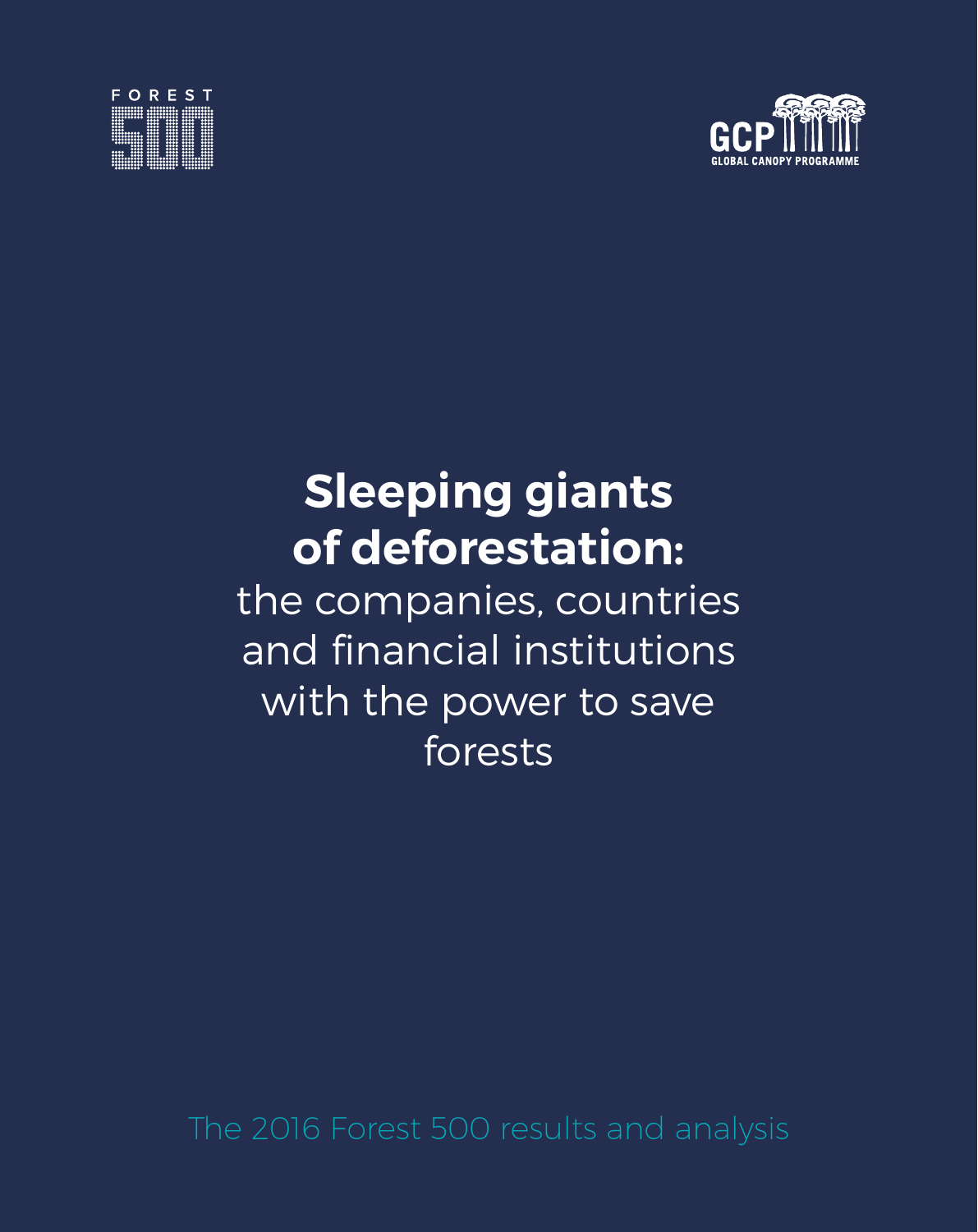



### **Sleeping giants of deforestation:**

the companies, countries and financial institutions with the power to save forests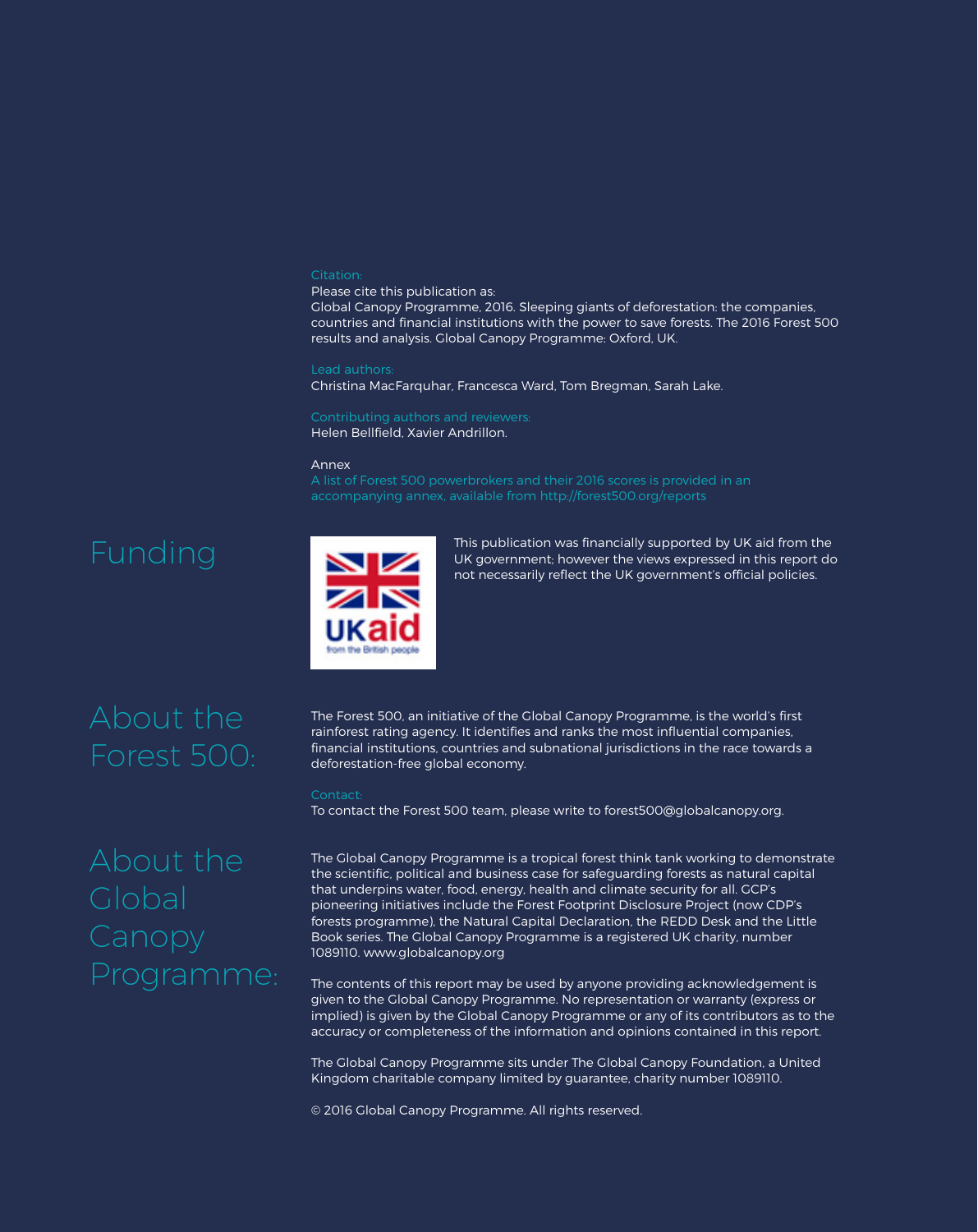#### Citation:

Please cite this publication as: Global Canopy Programme, 2016. Sleeping giants of deforestation: the companies, countries and financial institutions with the power to save forests. The 2016 Forest 500 results and analysis. Global Canopy Programme: Oxford, UK.

#### Lead authors:

Christina MacFarquhar, Francesca Ward, Tom Bregman, Sarah Lake.

Contributing authors and reviewers: Helen Bellfield, Xavier Andrillon.

#### Annex

A list of Forest 500 powerbrokers and their 2016 scores is provided in an

### Funding



This publication was financially supported by UK aid from the UK government; however the views expressed in this report do not necessarily reflect the UK government's official policies.

### About the Forest 500:

The Forest 500, an initiative of the Global Canopy Programme, is the world's first rainforest rating agency. It identifies and ranks the most influential companies, financial institutions, countries and subnational jurisdictions in the race towards a deforestation-free global economy.

To contact the Forest 500 team, please write to forest500@globalcanopy.org.

# About the Programme:

The Global Canopy Programme is a tropical forest think tank working to demonstrate the scientific, political and business case for safeguarding forests as natural capital that underpins water, food, energy, health and climate security for all. GCP's pioneering initiatives include the Forest Footprint Disclosure Project (now CDP's forests programme), the Natural Capital Declaration, the REDD Desk and the Little Book series. The Global Canopy Programme is a registered UK charity, number 1089110. www.globalcanopy.org

The contents of this report may be used by anyone providing acknowledgement is given to the Global Canopy Programme. No representation or warranty (express or implied) is given by the Global Canopy Programme or any of its contributors as to the accuracy or completeness of the information and opinions contained in this report.

The Global Canopy Programme sits under The Global Canopy Foundation, a United Kingdom charitable company limited by guarantee, charity number 1089110.

© 2016 Global Canopy Programme. All rights reserved.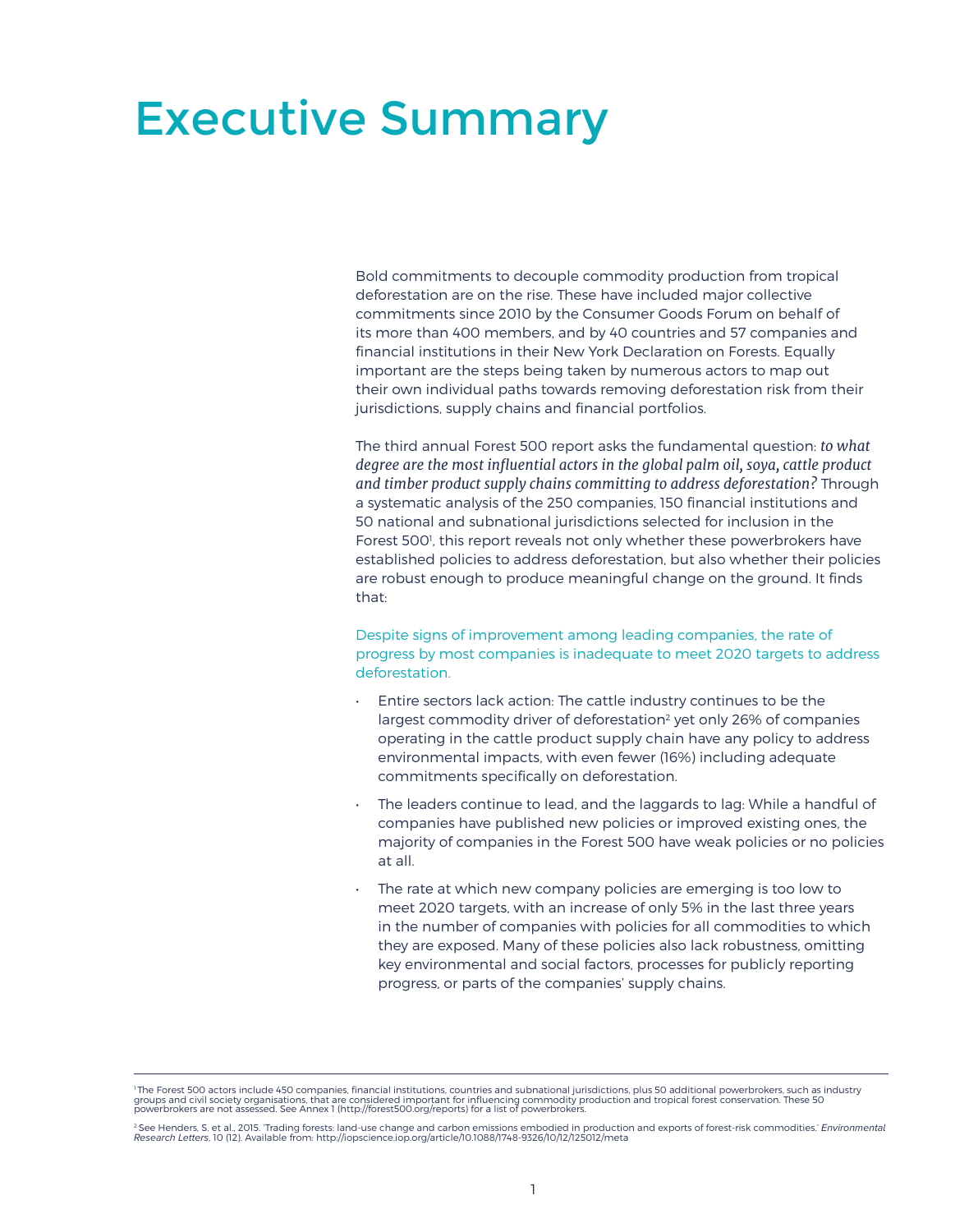### Executive Summary

Bold commitments to decouple commodity production from tropical deforestation are on the rise. These have included major collective commitments since 2010 by the Consumer Goods Forum on behalf of its more than 400 members, and by 40 countries and 57 companies and financial institutions in their New York Declaration on Forests. Equally important are the steps being taken by numerous actors to map out their own individual paths towards removing deforestation risk from their jurisdictions, supply chains and financial portfolios.

The third annual Forest 500 report asks the fundamental question: *to what degree are the most influential actors in the global palm oil, soya, cattle product and timber product supply chains committing to address deforestation?* Through a systematic analysis of the 250 companies, 150 financial institutions and 50 national and subnational jurisdictions selected for inclusion in the Forest 500<sup>1</sup>, this report reveals not only whether these powerbrokers have established policies to address deforestation, but also whether their policies are robust enough to produce meaningful change on the ground. It finds that:

Despite signs of improvement among leading companies, the rate of progress by most companies is inadequate to meet 2020 targets to address deforestation.

- Entire sectors lack action: The cattle industry continues to be the largest commodity driver of deforestation<sup>2</sup> yet only 26% of companies operating in the cattle product supply chain have any policy to address environmental impacts, with even fewer (16%) including adequate commitments specifically on deforestation.
- The leaders continue to lead, and the laggards to lag: While a handful of companies have published new policies or improved existing ones, the majority of companies in the Forest 500 have weak policies or no policies at all.
- The rate at which new company policies are emerging is too low to meet 2020 targets, with an increase of only 5% in the last three years in the number of companies with policies for all commodities to which they are exposed. Many of these policies also lack robustness, omitting key environmental and social factors, processes for publicly reporting progress, or parts of the companies' supply chains.

<sup>&#</sup>x27; The Forest 500 actors include 450 companies, financial institutions, countries and subnational jurisdictions, plus 50 additional powerbrokers, such as industry<br>groups and civil society organisations, that are considered

<sup>&</sup>lt;sup>2</sup> See Henders, S. et al., 2015. 'Trading forests: land-use change and carbon emissions embodied in production and exports of forest-risk commodities.' *Environmental*<br>Research Letters, 10 (12). Available from: http://iop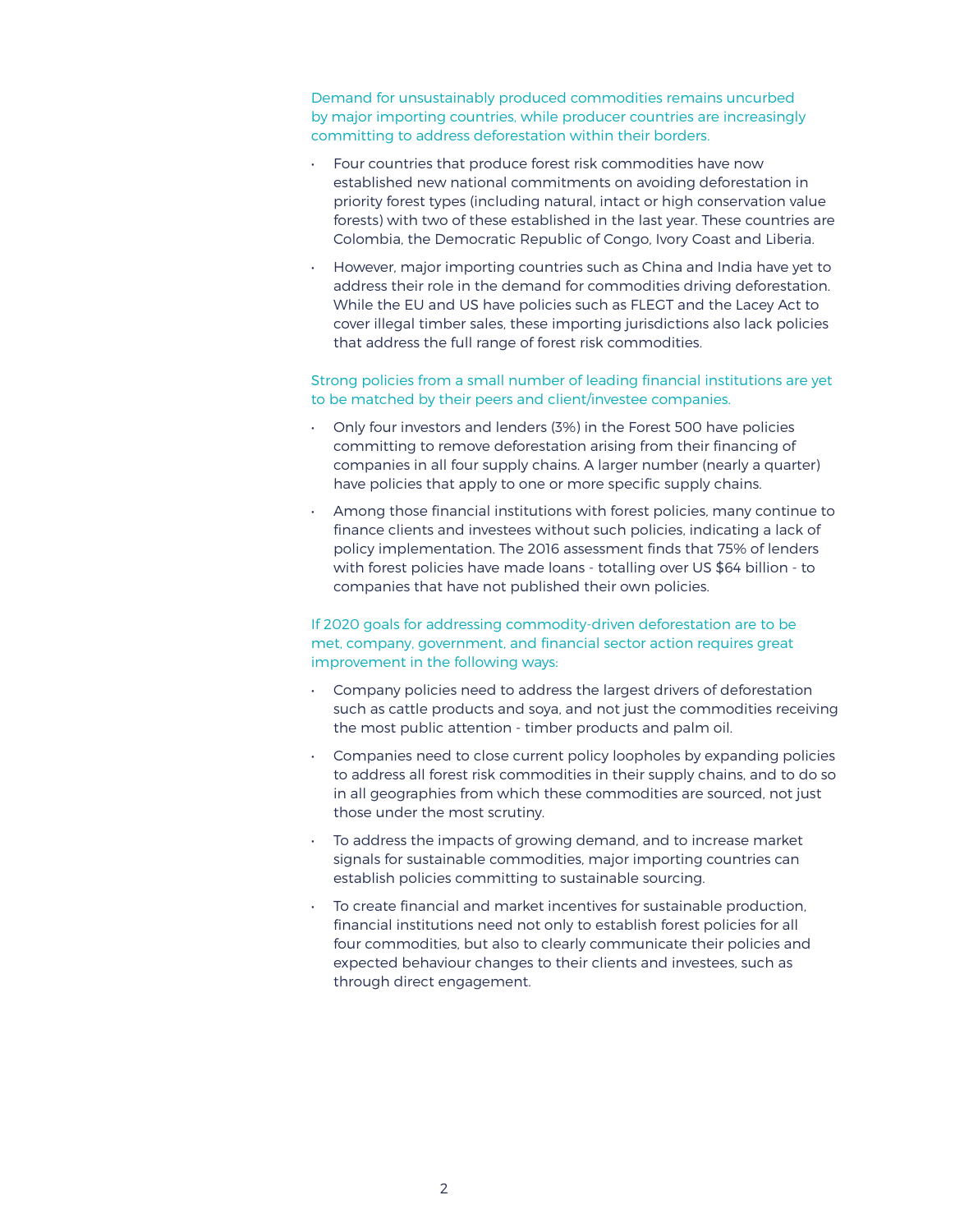Demand for unsustainably produced commodities remains uncurbed by major importing countries, while producer countries are increasingly committing to address deforestation within their borders.

- Four countries that produce forest risk commodities have now established new national commitments on avoiding deforestation in priority forest types (including natural, intact or high conservation value forests) with two of these established in the last year. These countries are Colombia, the Democratic Republic of Congo, Ivory Coast and Liberia.
- However, major importing countries such as China and India have yet to address their role in the demand for commodities driving deforestation. While the EU and US have policies such as FLEGT and the Lacey Act to cover illegal timber sales, these importing jurisdictions also lack policies that address the full range of forest risk commodities.

Strong policies from a small number of leading financial institutions are yet to be matched by their peers and client/investee companies.

- Only four investors and lenders (3%) in the Forest 500 have policies committing to remove deforestation arising from their financing of companies in all four supply chains. A larger number (nearly a quarter) have policies that apply to one or more specific supply chains.
- Among those financial institutions with forest policies, many continue to finance clients and investees without such policies, indicating a lack of policy implementation. The 2016 assessment finds that 75% of lenders with forest policies have made loans - totalling over US \$64 billion - to companies that have not published their own policies.

If 2020 goals for addressing commodity-driven deforestation are to be met, company, government, and financial sector action requires great improvement in the following ways:

- Company policies need to address the largest drivers of deforestation such as cattle products and soya, and not just the commodities receiving the most public attention - timber products and palm oil.
- Companies need to close current policy loopholes by expanding policies to address all forest risk commodities in their supply chains, and to do so in all geographies from which these commodities are sourced, not just those under the most scrutiny.
- To address the impacts of growing demand, and to increase market signals for sustainable commodities, major importing countries can establish policies committing to sustainable sourcing.
- To create financial and market incentives for sustainable production, financial institutions need not only to establish forest policies for all four commodities, but also to clearly communicate their policies and expected behaviour changes to their clients and investees, such as through direct engagement.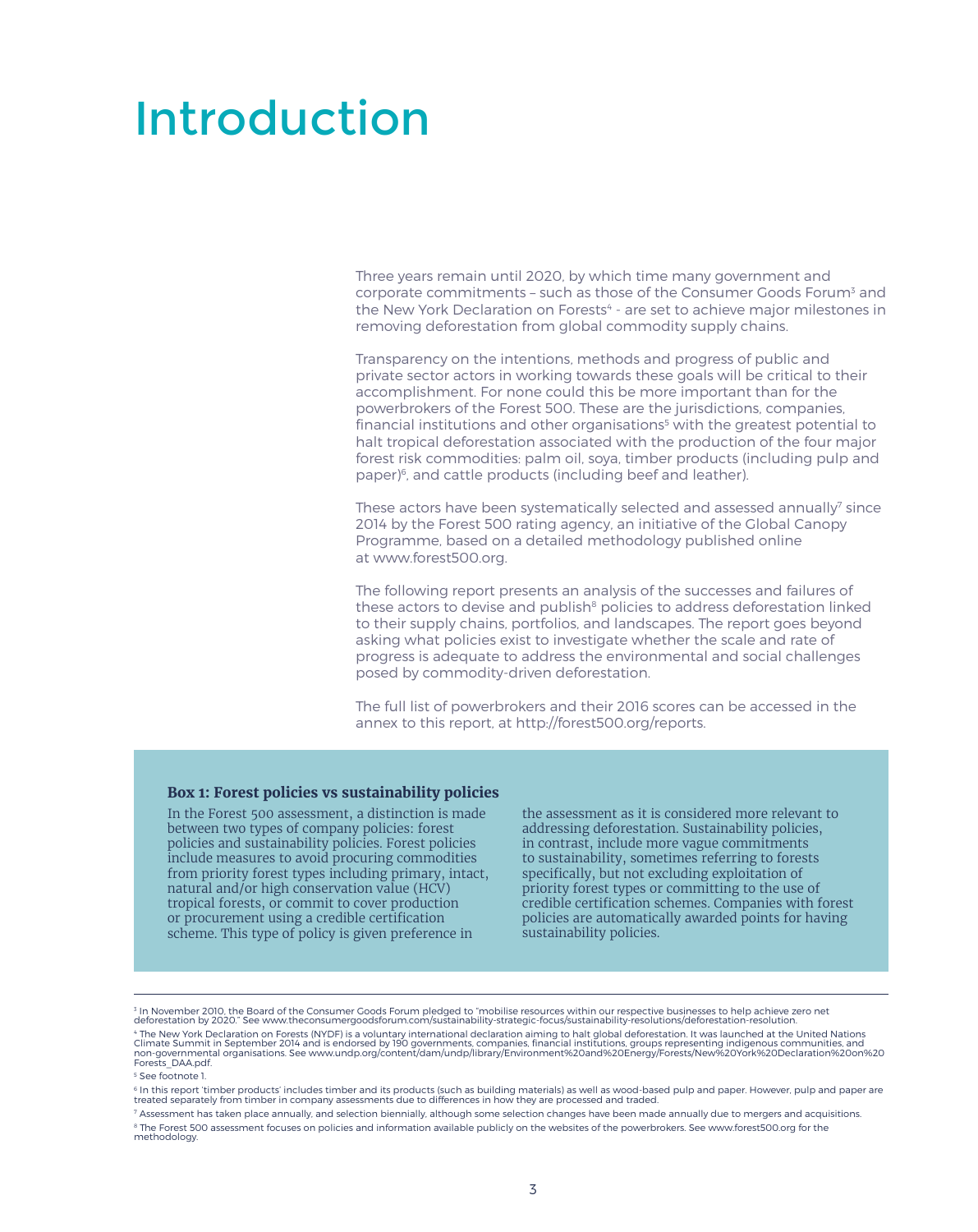### Introduction

Three years remain until 2020, by which time many government and corporate commitments - such as those of the Consumer Goods Forum<sup>3</sup> and the New York Declaration on Forests<sup>4</sup> - are set to achieve major milestones in removing deforestation from global commodity supply chains.

Transparency on the intentions, methods and progress of public and private sector actors in working towards these goals will be critical to their accomplishment. For none could this be more important than for the powerbrokers of the Forest 500. These are the jurisdictions, companies, financial institutions and other organisations<sup>5</sup> with the greatest potential to halt tropical deforestation associated with the production of the four major forest risk commodities: palm oil, soya, timber products (including pulp and paper)<sup>6</sup>, and cattle products (including beef and leather).

These actors have been systematically selected and assessed annually $^\prime$  since 2014 by the Forest 500 rating agency, an initiative of the Global Canopy Programme, based on a detailed methodology published online at www.forest500.org.

The following report presents an analysis of the successes and failures of these actors to devise and publish<sup>8</sup> policies to address deforestation linked to their supply chains, portfolios, and landscapes. The report goes beyond asking what policies exist to investigate whether the scale and rate of progress is adequate to address the environmental and social challenges posed by commodity-driven deforestation.

The full list of powerbrokers and their 2016 scores can be accessed in the annex to this report, at http://forest500.org/reports.

#### **Box 1: Forest policies vs sustainability policies**

In the Forest 500 assessment, a distinction is made between two types of company policies: forest policies and sustainability policies. Forest policies include measures to avoid procuring commodities from priority forest types including primary, intact, natural and/or high conservation value (HCV) tropical forests, or commit to cover production or procurement using a credible certification scheme. This type of policy is given preference in

the assessment as it is considered more relevant to addressing deforestation. Sustainability policies, in contrast, include more vague commitments to sustainability, sometimes referring to forests specifically, but not excluding exploitation of priority forest types or committing to the use of credible certification schemes. Companies with forest policies are automatically awarded points for having sustainability policies.

<sup>3</sup> In November 2010, the Board of the Consumer Goods Forum pledged to "mobilise resources within our respective businesses to help achieve zero net<br>deforestation by 2020." See www.theconsumergoodsforum.com/sustainability-" The New York Declaration on Forests (NYDF) is a voluntary international declaration aiming to halt global deforestation. It was launched at the United Nations<br>Climate Summit in September 2014 and is endorsed by 190 gover

<sup>5</sup> See footnote 1.

<sup>&</sup>lt;sup>6</sup> In this report 'timber products' includes timber and its products (such as building materials) as well as wood-based pulp and paper. However, pulp and paper are<br>treated separately from timber in company assessments due

 $^7$  Assessment has taken place annually, and selection biennially, although some selection changes have been made annually due to mergers and acquisitions.  $^\mathrm{s}$  The Forest 500 assessment focuses on policies and information available publicly on the websites of the powerbrokers. See [www.forest500.org](http://www.forest500.org) for the<br>methodology.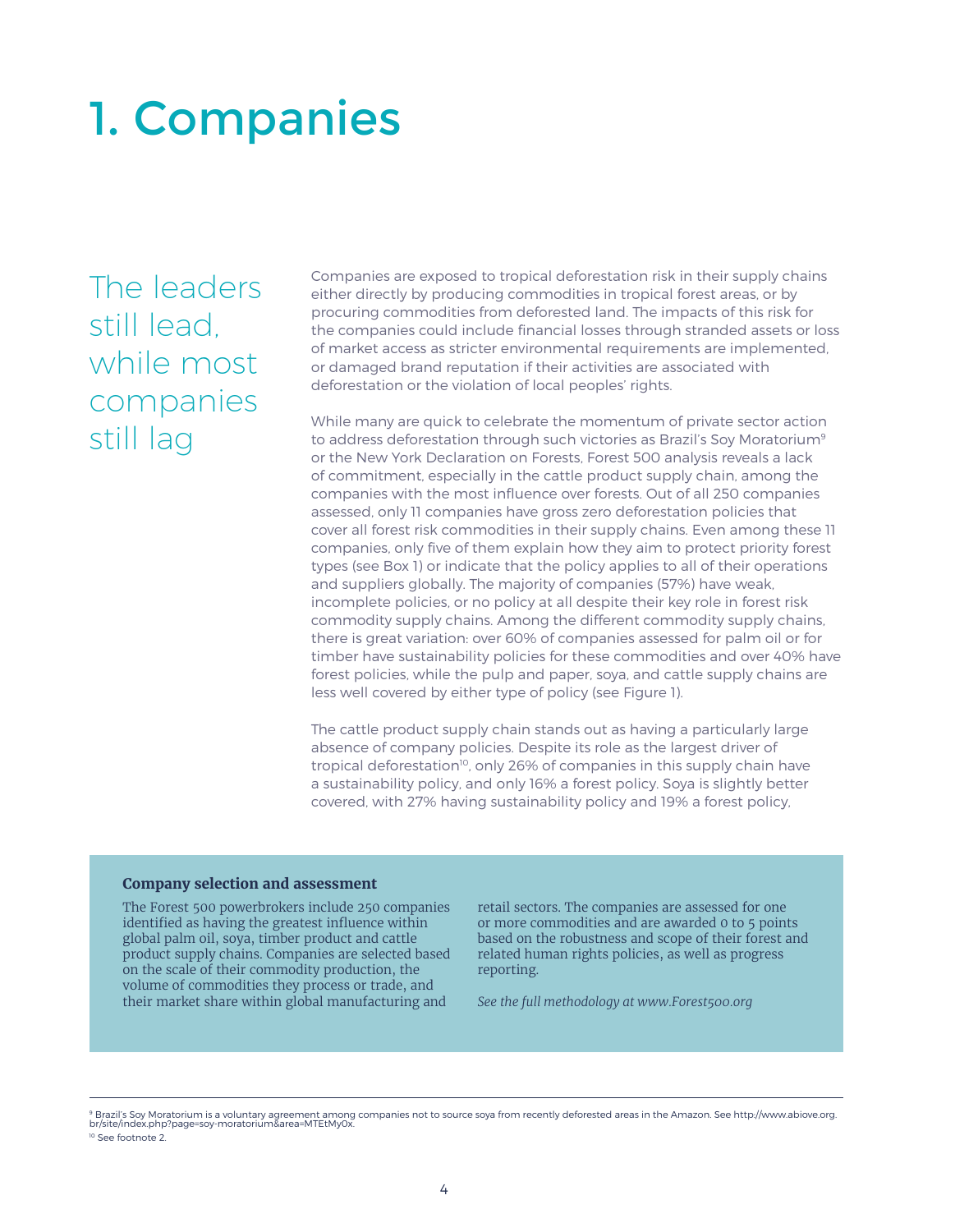## 1. Companies

The leaders still lead, while most companies still lag

Companies are exposed to tropical deforestation risk in their supply chains either directly by producing commodities in tropical forest areas, or by procuring commodities from deforested land. The impacts of this risk for the companies could include financial losses through stranded assets or loss of market access as stricter environmental requirements are implemented, or damaged brand reputation if their activities are associated with deforestation or the violation of local peoples' rights.

While many are quick to celebrate the momentum of private sector action to address deforestation through such victories as Brazil's Soy Moratorium<sup>9</sup> or the New York Declaration on Forests, Forest 500 analysis reveals a lack of commitment, especially in the cattle product supply chain, among the companies with the most influence over forests. Out of all 250 companies assessed, only 11 companies have gross zero deforestation policies that cover all forest risk commodities in their supply chains. Even among these 11 companies, only five of them explain how they aim to protect priority forest types (see Box 1) or indicate that the policy applies to all of their operations and suppliers globally. The majority of companies (57%) have weak, incomplete policies, or no policy at all despite their key role in forest risk commodity supply chains. Among the different commodity supply chains, there is great variation: over 60% of companies assessed for palm oil or for timber have sustainability policies for these commodities and over 40% have forest policies, while the pulp and paper, soya, and cattle supply chains are less well covered by either type of policy (see Figure 1).

The cattle product supply chain stands out as having a particularly large absence of company policies. Despite its role as the largest driver of tropical deforestation<sup>10</sup>, only 26% of companies in this supply chain have a sustainability policy, and only 16% a forest policy. Soya is slightly better covered, with 27% having sustainability policy and 19% a forest policy,

#### **Company selection and assessment**

The Forest 500 powerbrokers include 250 companies identified as having the greatest influence within global palm oil, soya, timber product and cattle product supply chains. Companies are selected based on the scale of their commodity production, the volume of commodities they process or trade, and their market share within global manufacturing and

retail sectors. The companies are assessed for one or more commodities and are awarded 0 to 5 points based on the robustness and scope of their forest and related human rights policies, as well as progress reporting.

*See the full methodology at www.Forest500.org*

<sup>&</sup>lt;sup>9</sup> Brazil's Soy Moratorium is a voluntary agreement among companies not to source soya from recently deforested areas in the Amazon. See http://www.abiove.org.<br>br/site/index.php?page=soy-moratorium&area=MTEtMy0x.

<sup>&</sup>lt;sup>10</sup> See footnote 2.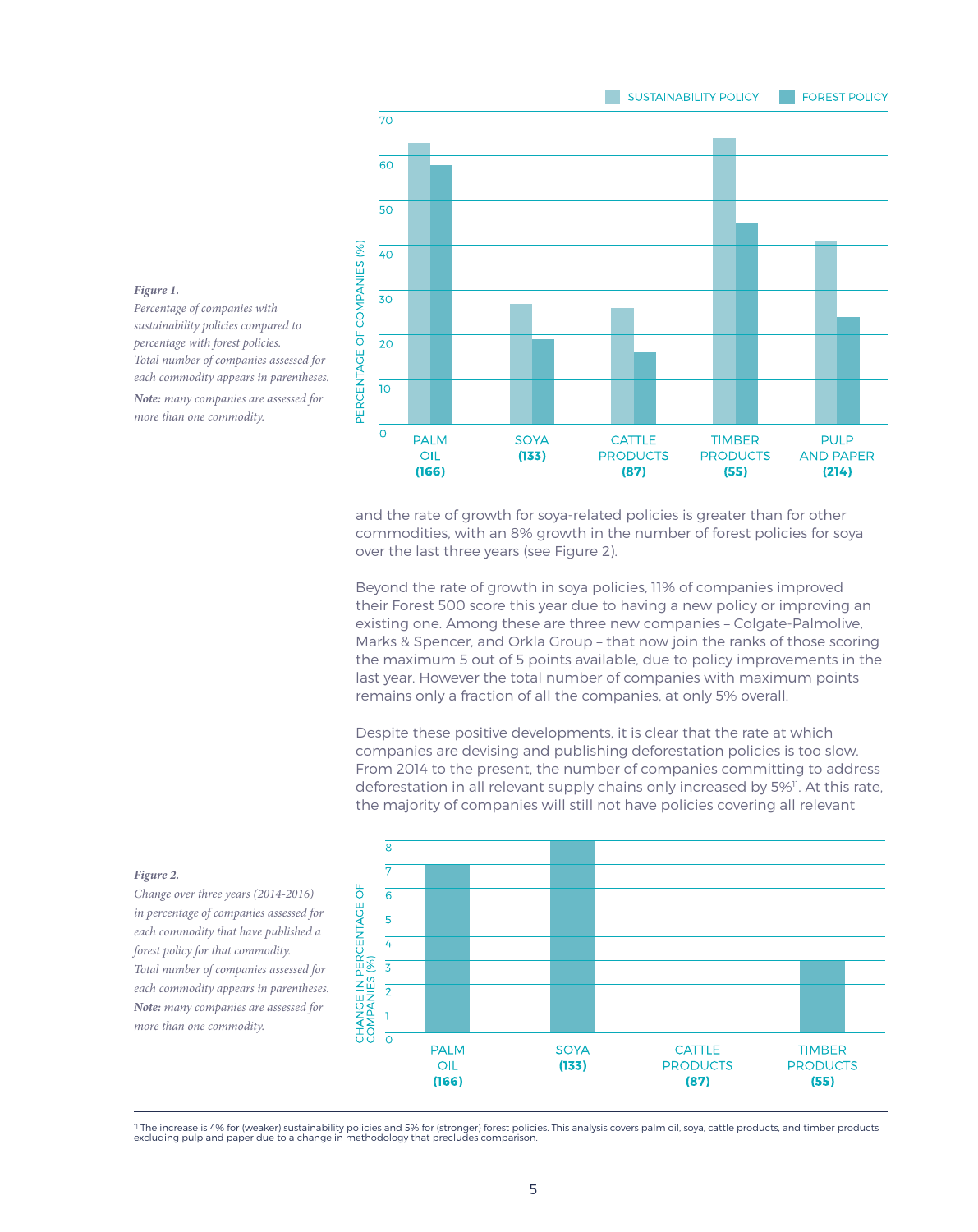#### **SUSTAINABILITY POLICY FOREST POLICY**



*Figure 1. Percentage of companies with sustainability policies compared to percentage with forest policies. Total number of companies assessed for each commodity appears in parentheses.*

*Note: many companies are assessed for more than one commodity.*

> and the rate of growth for soya-related policies is greater than for other commodities, with an 8% growth in the number of forest policies for soya over the last three years (see Figure 2).

Beyond the rate of growth in soya policies, 11% of companies improved their Forest 500 score this year due to having a new policy or improving an existing one. Among these are three new companies – Colgate-Palmolive, Marks & Spencer, and Orkla Group – that now join the ranks of those scoring the maximum 5 out of 5 points available, due to policy improvements in the last year. However the total number of companies with maximum points remains only a fraction of all the companies, at only 5% overall.

Despite these positive developments, it is clear that the rate at which companies are devising and publishing deforestation policies is too slow. From 2014 to the present, the number of companies committing to address deforestation in all relevant supply chains only increased by 5%<sup>11</sup>. At this rate, the majority of companies will still not have policies covering all relevant



#### *Figure 2.*

*Change over three years (2014-2016) in percentage of companies assessed for each commodity that have published a forest policy for that commodity. Total number of companies assessed for each commodity appears in parentheses. Note: many companies are assessed for more than one commodity.*

" The increase is 4% for (weaker) sustainability policies and 5% for (stronger) forest policies. This analysis covers palm oil, soya, cattle products, and timber products<br>excluding pulp and paper due to a change in methodo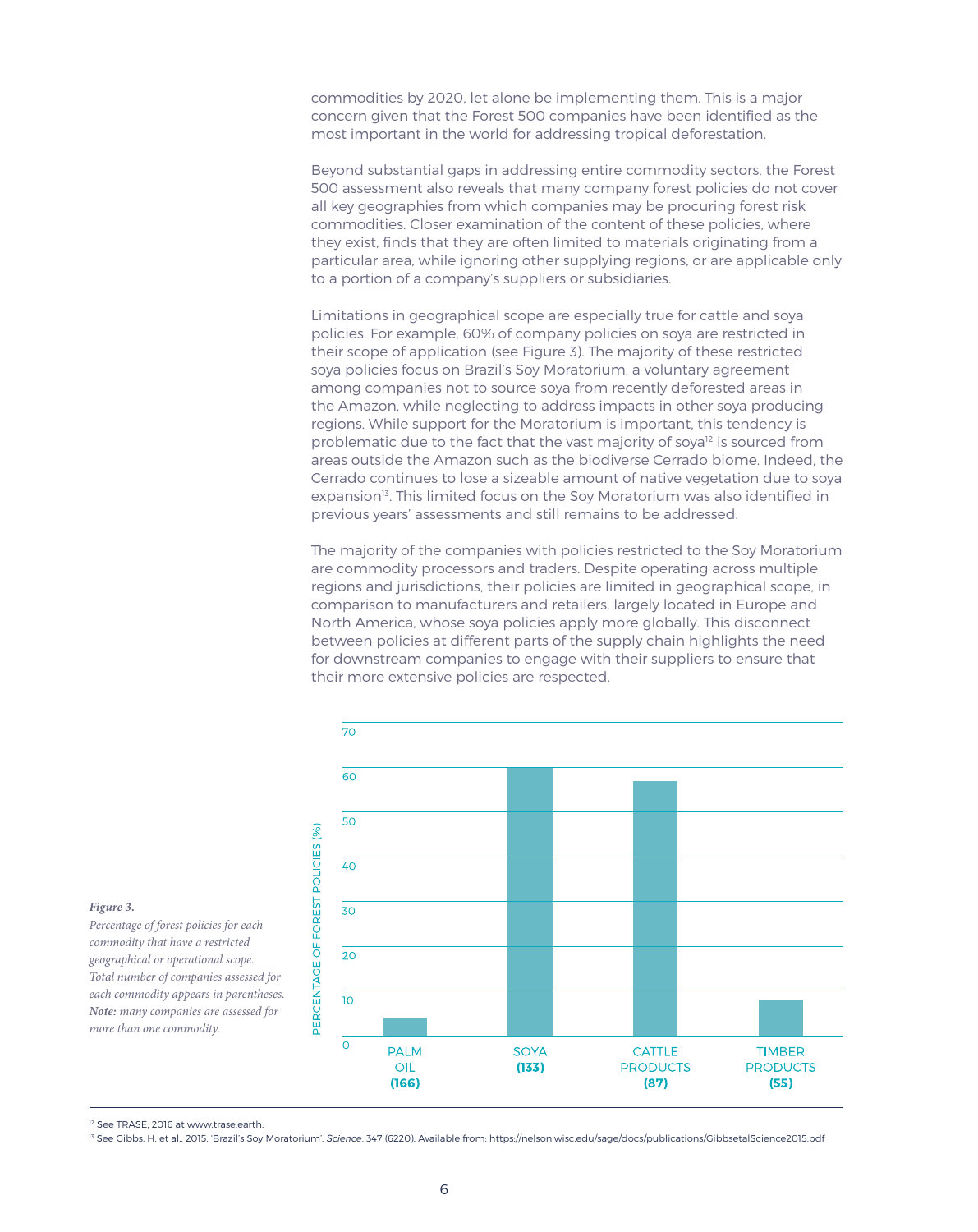commodities by 2020, let alone be implementing them. This is a major concern given that the Forest 500 companies have been identified as the most important in the world for addressing tropical deforestation.

Beyond substantial gaps in addressing entire commodity sectors, the Forest 500 assessment also reveals that many company forest policies do not cover all key geographies from which companies may be procuring forest risk commodities. Closer examination of the content of these policies, where they exist, finds that they are often limited to materials originating from a particular area, while ignoring other supplying regions, or are applicable only to a portion of a company's suppliers or subsidiaries.

Limitations in geographical scope are especially true for cattle and soya policies. For example, 60% of company policies on soya are restricted in their scope of application (see Figure 3). The majority of these restricted soya policies focus on Brazil's Soy Moratorium, a voluntary agreement among companies not to source soya from recently deforested areas in the Amazon, while neglecting to address impacts in other soya producing regions. While support for the Moratorium is important, this tendency is problematic due to the fact that the vast majority of soya<sup>12</sup> is sourced from areas outside the Amazon such as the biodiverse Cerrado biome. Indeed, the Cerrado continues to lose a sizeable amount of native vegetation due to soya expansion<sup>13</sup>. This limited focus on the Soy Moratorium was also identified in previous years' assessments and still remains to be addressed.

The majority of the companies with policies restricted to the Soy Moratorium are commodity processors and traders. Despite operating across multiple regions and jurisdictions, their policies are limited in geographical scope, in comparison to manufacturers and retailers, largely located in Europe and North America, whose soya policies apply more globally. This disconnect between policies at different parts of the supply chain highlights the need for downstream companies to engage with their suppliers to ensure that their more extensive policies are respected.



#### *Figure 3.*

*Percentage of forest policies for each commodity that have a restricted geographical or operational scope. Total number of companies assessed for each commodity appears in parentheses. Note: many companies are assessed for more than one commodity.*

<sup>12</sup> See TRASE, 2016 at www.trase.earth

13 See Gibbs, H. et al., 2015. 'Brazil's Soy Moratorium'. *Science*, 347 (6220). Available from: https://nelson.wisc.edu/sage/docs/publications/GibbsetalScience2015.pdf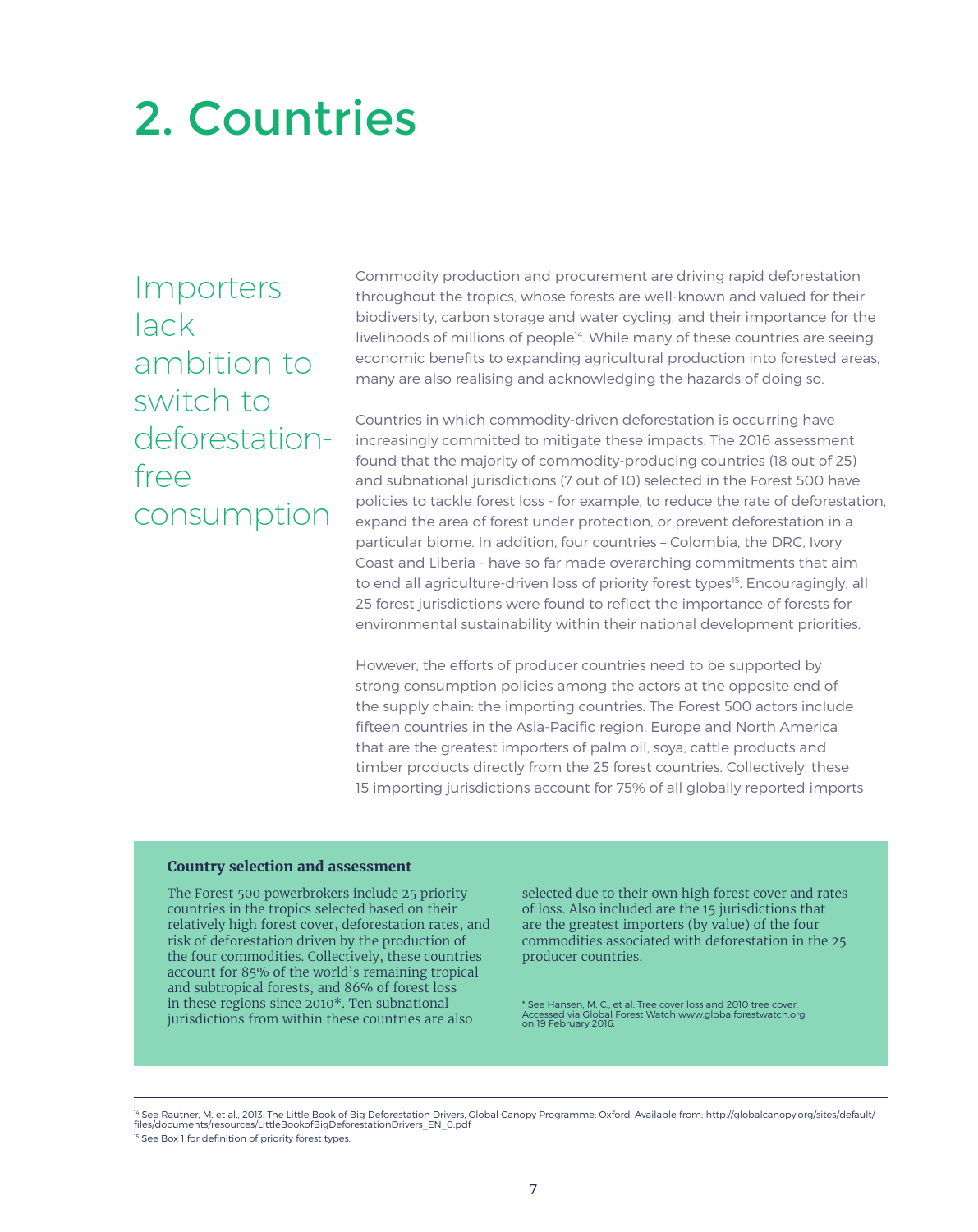# 2. Countries

Importers lack ambition to switch to deforestationfree consumption

Commodity production and procurement are driving rapid deforestation throughout the tropics, whose forests are well-known and valued for their biodiversity, carbon storage and water cycling, and their importance for the livelihoods of millions of people<sup>14</sup>. While many of these countries are seeing economic benefits to expanding agricultural production into forested areas, many are also realising and acknowledging the hazards of doing so.

Countries in which commodity-driven deforestation is occurring have increasingly committed to mitigate these impacts. The 2016 assessment found that the majority of commodity-producing countries (18 out of 25) and subnational jurisdictions (7 out of 10) selected in the Forest 500 have policies to tackle forest loss - for example, to reduce the rate of deforestation, expand the area of forest under protection, or prevent deforestation in a particular biome. In addition, four countries – Colombia, the DRC, Ivory Coast and Liberia - have so far made overarching commitments that aim to end all agriculture-driven loss of priority forest types<sup>15</sup>. Encouragingly, all 25 forest jurisdictions were found to reflect the importance of forests for environmental sustainability within their national development priorities.

However, the efforts of producer countries need to be supported by strong consumption policies among the actors at the opposite end of the supply chain: the importing countries. The Forest 500 actors include fifteen countries in the Asia-Pacific region, Europe and North America that are the greatest importers of palm oil, soya, cattle products and timber products directly from the 25 forest countries. Collectively, these 15 importing jurisdictions account for 75% of all globally reported imports

### **Country selection and assessment**

The Forest 500 powerbrokers include 25 priority countries in the tropics selected based on their relatively high forest cover, deforestation rates, and risk of deforestation driven by the production of the four commodities. Collectively, these countries account for 85% of the world's remaining tropical and subtropical forests, and 86% of forest loss in these regions since 2010\*. Ten subnational jurisdictions from within these countries are also

selected due to their own high forest cover and rates of loss. Also included are the 15 jurisdictions that are the greatest importers (by value) of the four commodities associated with deforestation in the 25 producer countries.

\* See Hansen, M. C., et al. Tree cover loss and 2010 tree cover. Accessed via Global Forest Watch www.globalforestwatch.org on 19 February 2016.

14 See Rautner, M. et al., 2013. The Little Book of Big Deforestation Drivers, Global Canopy Programme: Oxford. Available from: http://globalcanopy.org/sites/default/<br>files/documents/resources/LittleBookofBigDeforestationD

<sup>15</sup> See Box 1 for definition of priority forest types.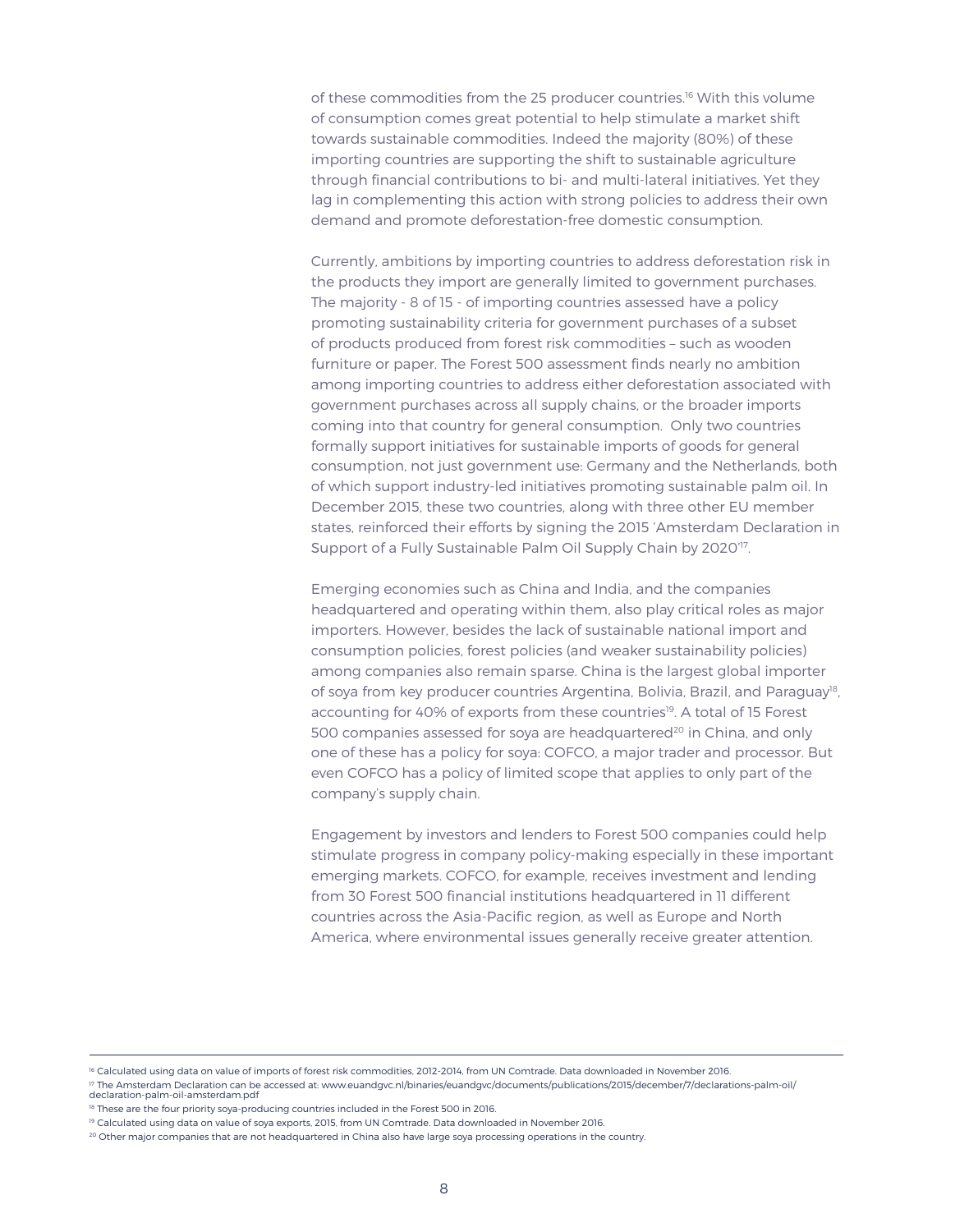of these commodities from the 25 producer countries.<sup>16</sup> With this volume of consumption comes great potential to help stimulate a market shift towards sustainable commodities. Indeed the majority (80%) of these importing countries are supporting the shift to sustainable agriculture through financial contributions to bi- and multi-lateral initiatives. Yet they lag in complementing this action with strong policies to address their own demand and promote deforestation-free domestic consumption.

Currently, ambitions by importing countries to address deforestation risk in the products they import are generally limited to government purchases. The majority - 8 of 15 - of importing countries assessed have a policy promoting sustainability criteria for government purchases of a subset of products produced from forest risk commodities – such as wooden furniture or paper. The Forest 500 assessment finds nearly no ambition among importing countries to address either deforestation associated with government purchases across all supply chains, or the broader imports coming into that country for general consumption. Only two countries formally support initiatives for sustainable imports of goods for general consumption, not just government use: Germany and the Netherlands, both of which support industry-led initiatives promoting sustainable palm oil. In December 2015, these two countries, along with three other EU member states, reinforced their efforts by signing the 2015 'Amsterdam Declaration in Support of a Fully Sustainable Palm Oil Supply Chain by 2020<sup>'17</sup>.

Emerging economies such as China and India, and the companies headquartered and operating within them, also play critical roles as major importers. However, besides the lack of sustainable national import and consumption policies, forest policies (and weaker sustainability policies) among companies also remain sparse. China is the largest global importer of soya from key producer countries Argentina, Bolivia, Brazil, and Paraguay<sup>18</sup>, accounting for 40% of exports from these countries<sup>19</sup>. A total of 15 Forest 500 companies assessed for soya are headquartered<sup>20</sup> in China, and only one of these has a policy for soya: COFCO, a major trader and processor. But even COFCO has a policy of limited scope that applies to only part of the company's supply chain.

Engagement by investors and lenders to Forest 500 companies could help stimulate progress in company policy-making especially in these important emerging markets. COFCO, for example, receives investment and lending from 30 Forest 500 financial institutions headquartered in 11 different countries across the Asia-Pacific region, as well as Europe and North America, where environmental issues generally receive greater attention.

<sup>16</sup> Calculated using data on value of imports of forest risk commodities, 2012-2014, from UN Comtrade. Data downloaded in November 2016.

<sup>&</sup>lt;sup>17</sup> The Amsterdam Declaration can be accessed at: www.euandgvc.nl/binaries/euandgvc/documents/publications/2015/december/7/declarations-palm-oil/ declaration-palm-oil-amsterdam.pdf

<sup>&</sup>lt;sup>18</sup> These are the four priority soya-producing countries included in the Forest 500 in 2016.

<sup>&</sup>lt;sup>19</sup> Calculated using data on value of sova exports, 2015, from UN Comtrade. Data downloaded in November 2016.

<sup>&</sup>lt;sup>20</sup> Other major companies that are not headquartered in China also have large soya processing operations in the country.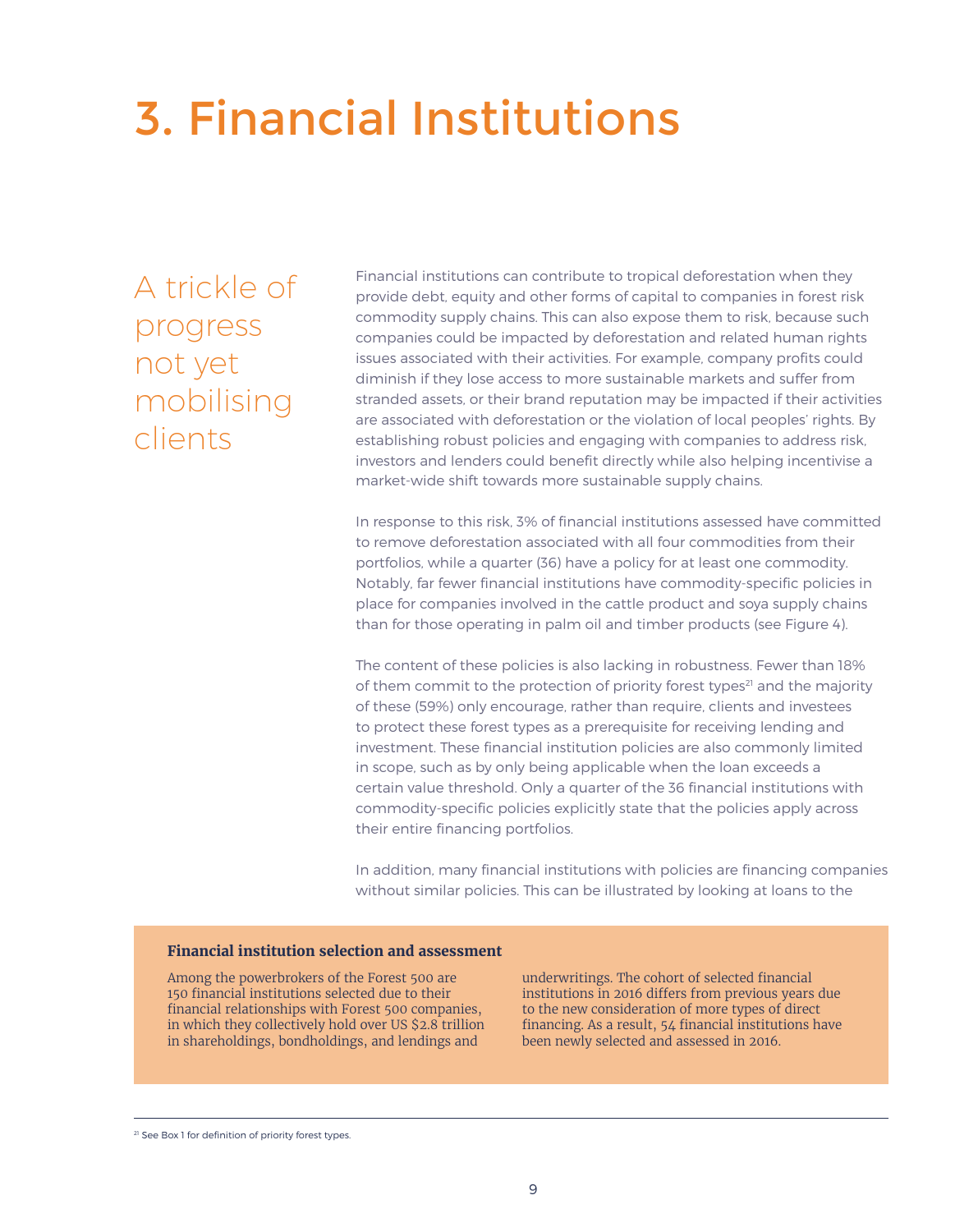# 3. Financial Institutions

A trickle of progress not yet mobilising clients

Financial institutions can contribute to tropical deforestation when they provide debt, equity and other forms of capital to companies in forest risk commodity supply chains. This can also expose them to risk, because such companies could be impacted by deforestation and related human rights issues associated with their activities. For example, company profits could diminish if they lose access to more sustainable markets and suffer from stranded assets, or their brand reputation may be impacted if their activities are associated with deforestation or the violation of local peoples' rights. By establishing robust policies and engaging with companies to address risk, investors and lenders could benefit directly while also helping incentivise a market-wide shift towards more sustainable supply chains.

In response to this risk, 3% of financial institutions assessed have committed to remove deforestation associated with all four commodities from their portfolios, while a quarter (36) have a policy for at least one commodity. Notably, far fewer financial institutions have commodity-specific policies in place for companies involved in the cattle product and soya supply chains than for those operating in palm oil and timber products (see Figure 4).

The content of these policies is also lacking in robustness. Fewer than 18% of them commit to the protection of priority forest types<sup>21</sup> and the majority of these (59%) only encourage, rather than require, clients and investees to protect these forest types as a prerequisite for receiving lending and investment. These financial institution policies are also commonly limited in scope, such as by only being applicable when the loan exceeds a certain value threshold. Only a quarter of the 36 financial institutions with commodity-specific policies explicitly state that the policies apply across their entire financing portfolios.

In addition, many financial institutions with policies are financing companies without similar policies. This can be illustrated by looking at loans to the

### **Financial institution selection and assessment**

Among the powerbrokers of the Forest 500 are 150 financial institutions selected due to their financial relationships with Forest 500 companies, in which they collectively hold over US \$2.8 trillion in shareholdings, bondholdings, and lendings and

underwritings. The cohort of selected financial institutions in 2016 differs from previous years due to the new consideration of more types of direct financing. As a result, 54 financial institutions have been newly selected and assessed in 2016.

<sup>21</sup> See Box 1 for definition of priority forest types.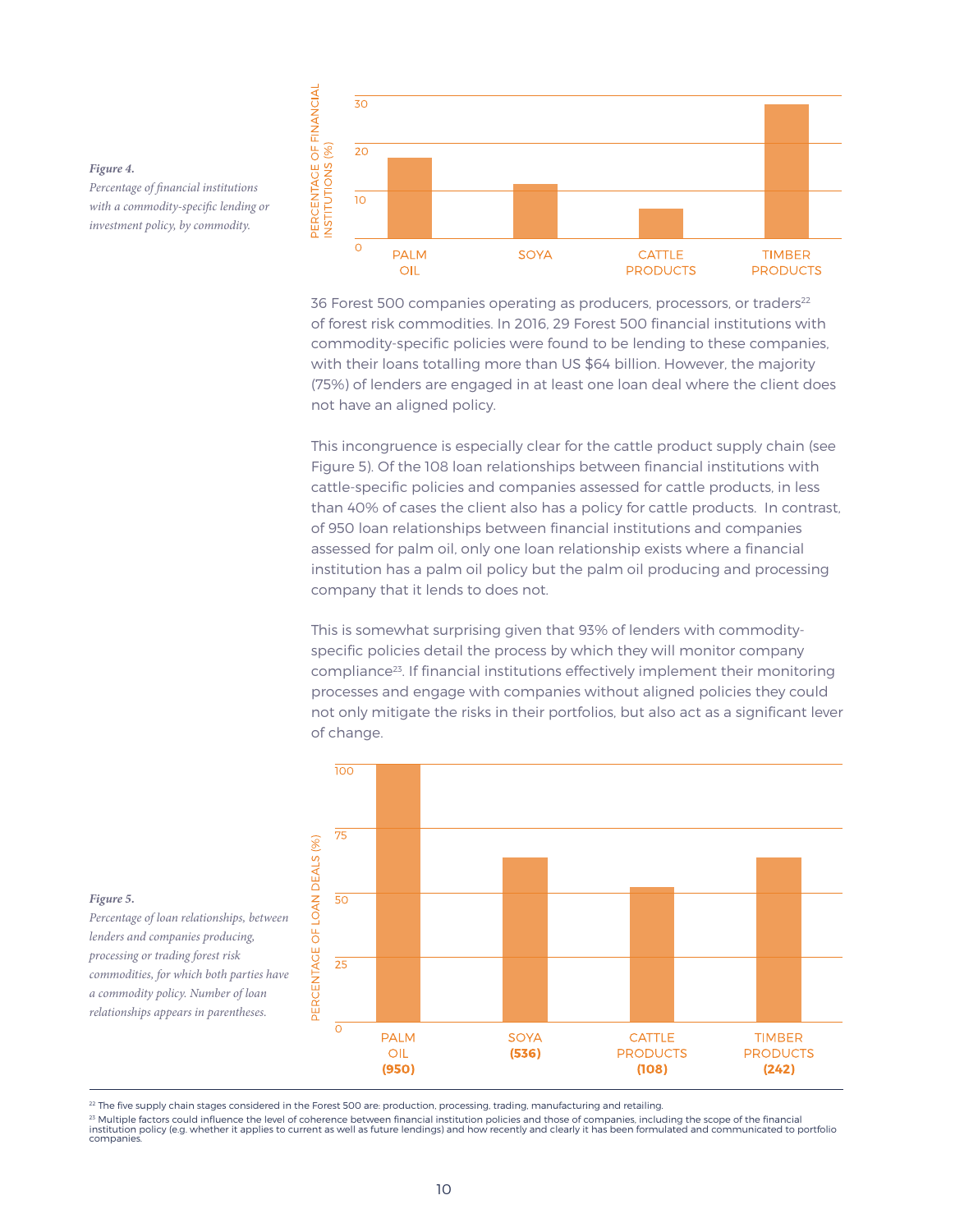

36 Forest 500 companies operating as producers, processors, or traders<sup>22</sup> of forest risk commodities. In 2016, 29 Forest 500 financial institutions with commodity-specific policies were found to be lending to these companies, with their loans totalling more than US \$64 billion. However, the majority (75%) of lenders are engaged in at least one loan deal where the client does not have an aligned policy.

This incongruence is especially clear for the cattle product supply chain (see Figure 5). Of the 108 loan relationships between financial institutions with cattle-specific policies and companies assessed for cattle products, in less than 40% of cases the client also has a policy for cattle products. In contrast, of 950 loan relationships between financial institutions and companies assessed for palm oil, only one loan relationship exists where a financial institution has a palm oil policy but the palm oil producing and processing company that it lends to does not.

This is somewhat surprising given that 93% of lenders with commodityspecific policies detail the process by which they will monitor company compliance23. If financial institutions effectively implement their monitoring processes and engage with companies without aligned policies they could not only mitigate the risks in their portfolios, but also act as a significant lever of change.



#### *Figure 4.*

*Percentage of financial institutions with a commodity-specific lending or investment policy, by commodity.* 

*Figure 5.*

*Percentage of loan relationships, between lenders and companies producing, processing or trading forest risk commodities, for which both parties have a commodity policy. Number of loan relationships appears in parentheses.*

<sup>22</sup> The five supply chain stages considered in the Forest 500 are: production, processing, trading, manufacturing and retailing.

23 Multiple factors could influence the level of coherence between financial institution policies and those of companies, including the scope of the financial<br>institution policy (e.g. whether it applies to current as well companies.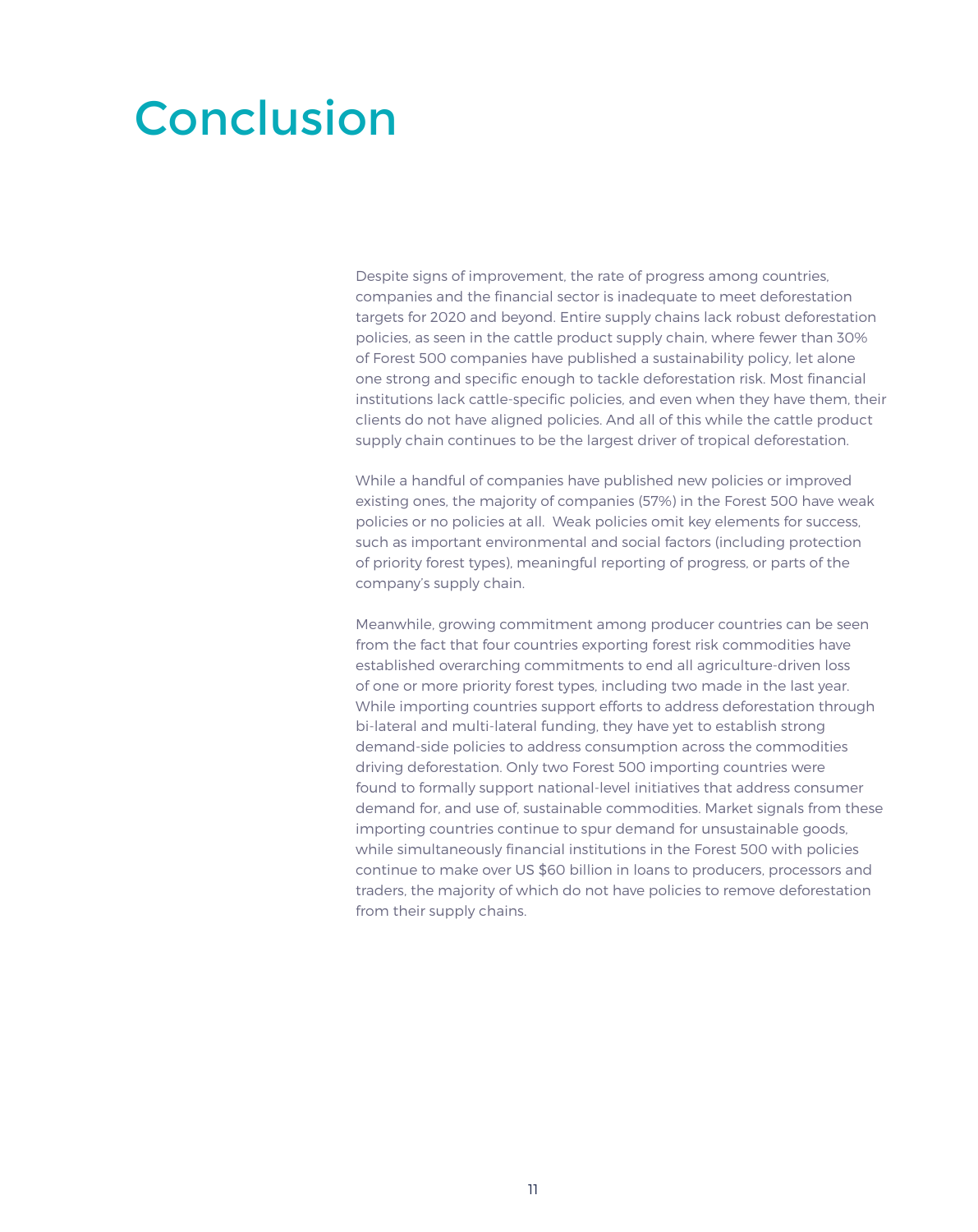### Conclusion

Despite signs of improvement, the rate of progress among countries, companies and the financial sector is inadequate to meet deforestation targets for 2020 and beyond. Entire supply chains lack robust deforestation policies, as seen in the cattle product supply chain, where fewer than 30% of Forest 500 companies have published a sustainability policy, let alone one strong and specific enough to tackle deforestation risk. Most financial institutions lack cattle-specific policies, and even when they have them, their clients do not have aligned policies. And all of this while the cattle product supply chain continues to be the largest driver of tropical deforestation.

While a handful of companies have published new policies or improved existing ones, the majority of companies (57%) in the Forest 500 have weak policies or no policies at all. Weak policies omit key elements for success, such as important environmental and social factors (including protection of priority forest types), meaningful reporting of progress, or parts of the company's supply chain.

Meanwhile, growing commitment among producer countries can be seen from the fact that four countries exporting forest risk commodities have established overarching commitments to end all agriculture-driven loss of one or more priority forest types, including two made in the last year. While importing countries support efforts to address deforestation through bi-lateral and multi-lateral funding, they have yet to establish strong demand-side policies to address consumption across the commodities driving deforestation. Only two Forest 500 importing countries were found to formally support national-level initiatives that address consumer demand for, and use of, sustainable commodities. Market signals from these importing countries continue to spur demand for unsustainable goods, while simultaneously financial institutions in the Forest 500 with policies continue to make over US \$60 billion in loans to producers, processors and traders, the majority of which do not have policies to remove deforestation from their supply chains.